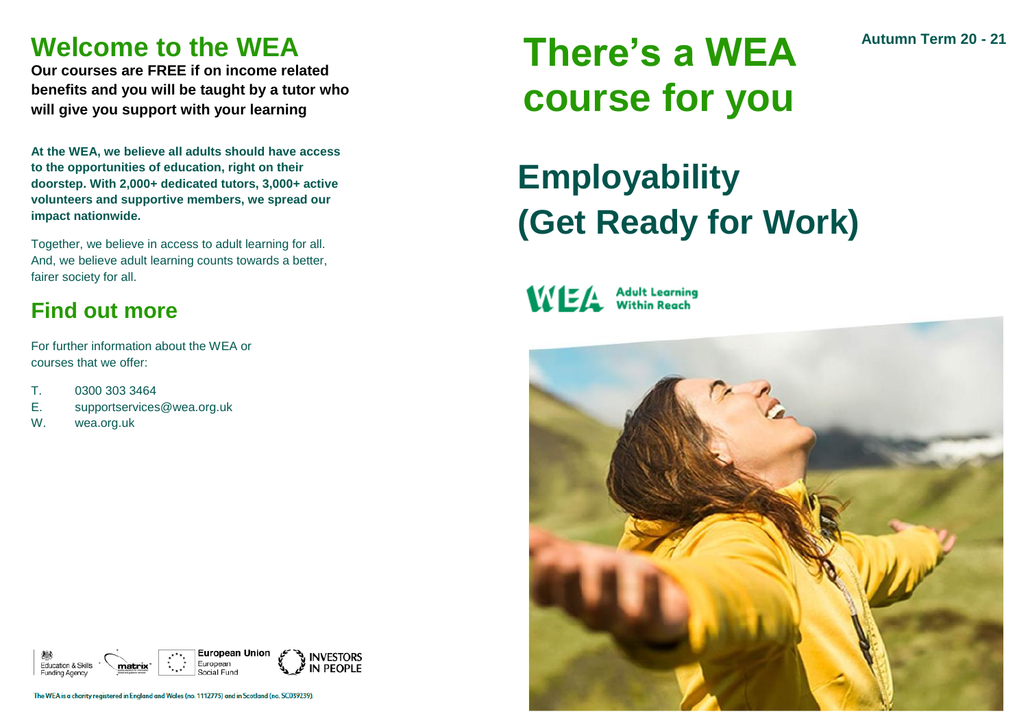## **Welcome to the WEA**

**Our courses are FREE if on income related benefits and you will be taught by a tutor who will give you support with your learning**

**At the WEA, we believe all adults should have access to the opportunities of education, right on their doorstep. With 2,000+ dedicated tutors, 3,000+ active volunteers and supportive members, we spread our impact nationwide.**

Together, we believe in access to adult learning for all. And, we believe adult learning counts towards a better, fairer society for all.

### **Find out more**

For further information about the WEA or courses that we offer:

- T. 0300 303 3464
- E. supportservices@wea.org.uk
- W. wea.org.uk

# **Autumn Term 20 - <sup>21</sup> There's a WEA course for you**

## **Employability (Get Ready for Work)**